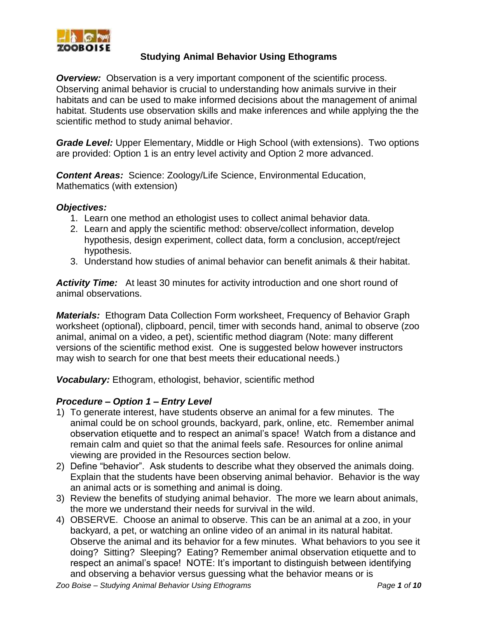

#### **Studying Animal Behavior Using Ethograms**

**Overview:** Observation is a very important component of the scientific process. Observing animal behavior is crucial to understanding how animals survive in their habitats and can be used to make informed decisions about the management of animal habitat. Students use observation skills and make inferences and while applying the the scientific method to study animal behavior.

*Grade Level:* Upper Elementary, Middle or High School (with extensions). Two options are provided: Option 1 is an entry level activity and Option 2 more advanced.

*Content Areas:* Science: Zoology/Life Science, Environmental Education, Mathematics (with extension)

#### *Objectives:*

- 1. Learn one method an ethologist uses to collect animal behavior data.
- 2. Learn and apply the scientific method: observe/collect information, develop hypothesis, design experiment, collect data, form a conclusion, accept/reject hypothesis.
- 3. Understand how studies of animal behavior can benefit animals & their habitat.

*Activity Time:* At least 30 minutes for activity introduction and one short round of animal observations.

*Materials:* Ethogram Data Collection Form worksheet, Frequency of Behavior Graph worksheet (optional), clipboard, pencil, timer with seconds hand, animal to observe (zoo animal, animal on a video, a pet), scientific method diagram (Note: many different versions of the scientific method exist. One is suggested below however instructors may wish to search for one that best meets their educational needs.)

*Vocabulary:* Ethogram, ethologist, behavior, scientific method

#### *Procedure – Option 1 – Entry Level*

- 1) To generate interest, have students observe an animal for a few minutes. The animal could be on school grounds, backyard, park, online, etc. Remember animal observation etiquette and to respect an animal's space! Watch from a distance and remain calm and quiet so that the animal feels safe. Resources for online animal viewing are provided in the Resources section below.
- 2) Define "behavior". Ask students to describe what they observed the animals doing. Explain that the students have been observing animal behavior. Behavior is the way an animal acts or is something and animal is doing.
- 3) Review the benefits of studying animal behavior. The more we learn about animals, the more we understand their needs for survival in the wild.
- 4) OBSERVE. Choose an animal to observe. This can be an animal at a zoo, in your backyard, a pet, or watching an online video of an animal in its natural habitat. Observe the animal and its behavior for a few minutes. What behaviors to you see it doing? Sitting? Sleeping? Eating? Remember animal observation etiquette and to respect an animal's space! NOTE: It's important to distinguish between identifying and observing a behavior versus guessing what the behavior means or is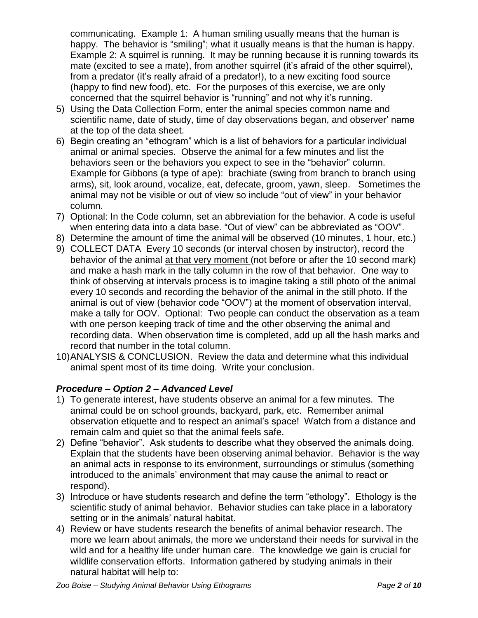communicating. Example 1: A human smiling usually means that the human is happy. The behavior is "smiling"; what it usually means is that the human is happy. Example 2: A squirrel is running. It may be running because it is running towards its mate (excited to see a mate), from another squirrel (it's afraid of the other squirrel), from a predator (it's really afraid of a predator!), to a new exciting food source (happy to find new food), etc. For the purposes of this exercise, we are only concerned that the squirrel behavior is "running" and not why it's running.

- 5) Using the Data Collection Form, enter the animal species common name and scientific name, date of study, time of day observations began, and observer' name at the top of the data sheet.
- 6) Begin creating an "ethogram" which is a list of behaviors for a particular individual animal or animal species. Observe the animal for a few minutes and list the behaviors seen or the behaviors you expect to see in the "behavior" column. Example for Gibbons (a type of ape): brachiate (swing from branch to branch using arms), sit, look around, vocalize, eat, defecate, groom, yawn, sleep. Sometimes the animal may not be visible or out of view so include "out of view" in your behavior column.
- 7) Optional: In the Code column, set an abbreviation for the behavior. A code is useful when entering data into a data base. "Out of view" can be abbreviated as "OOV".
- 8) Determine the amount of time the animal will be observed (10 minutes, 1 hour, etc.)
- 9) COLLECT DATA Every 10 seconds (or interval chosen by instructor), record the behavior of the animal at that very moment (not before or after the 10 second mark) and make a hash mark in the tally column in the row of that behavior. One way to think of observing at intervals process is to imagine taking a still photo of the animal every 10 seconds and recording the behavior of the animal in the still photo. If the animal is out of view (behavior code "OOV") at the moment of observation interval, make a tally for OOV. Optional: Two people can conduct the observation as a team with one person keeping track of time and the other observing the animal and recording data. When observation time is completed, add up all the hash marks and record that number in the total column.
- 10)ANALYSIS & CONCLUSION. Review the data and determine what this individual animal spent most of its time doing. Write your conclusion.

## *Procedure – Option 2 – Advanced Level*

- 1) To generate interest, have students observe an animal for a few minutes. The animal could be on school grounds, backyard, park, etc. Remember animal observation etiquette and to respect an animal's space! Watch from a distance and remain calm and quiet so that the animal feels safe.
- 2) Define "behavior". Ask students to describe what they observed the animals doing. Explain that the students have been observing animal behavior. Behavior is the way an animal acts in response to its environment, surroundings or stimulus (something introduced to the animals' environment that may cause the animal to react or respond).
- 3) Introduce or have students research and define the term "ethology". Ethology is the scientific study of animal behavior. Behavior studies can take place in a laboratory setting or in the animals' natural habitat.
- 4) Review or have students research the benefits of animal behavior research. The more we learn about animals, the more we understand their needs for survival in the wild and for a healthy life under human care. The knowledge we gain is crucial for wildlife conservation efforts. Information gathered by studying animals in their natural habitat will help to: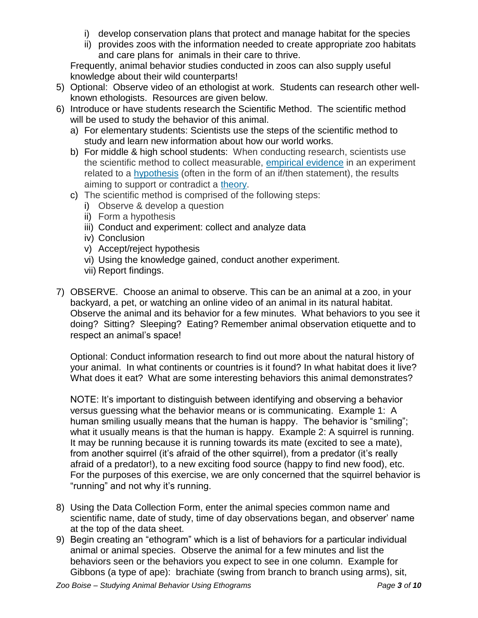- i) develop conservation plans that protect and manage habitat for the species
- ii) provides zoos with the information needed to create appropriate zoo habitats and care plans for animals in their care to thrive.

Frequently, animal behavior studies conducted in zoos can also supply useful knowledge about their wild counterparts!

- 5) Optional: Observe video of an ethologist at work. Students can research other wellknown ethologists. Resources are given below.
- 6) Introduce or have students research the Scientific Method. The scientific method will be used to study the behavior of this animal.
	- a) For elementary students: Scientists use the steps of the scientific method to study and learn new information about how our world works.
	- b) For middle & high school students: When conducting research, scientists use the scientific method to collect measurable, *empirical [evidence](https://www.livescience.com/21456-empirical-evidence-a-definition.html)* in an experiment related to a [hypothesis](https://www.livescience.com/21490-what-is-a-scientific-hypothesis-definition-of-hypothesis.html) (often in the form of an if/then statement), the results aiming to support or contradict a [theory.](https://www.livescience.com/21491-what-is-a-scientific-theory-definition-of-theory.html)
	- c) The scientific method is comprised of the following steps:
		- i) Observe & develop a question
		- ii) Form a hypothesis
		- iii) Conduct and experiment: collect and analyze data
		- iv) Conclusion
		- v) Accept/reject hypothesis
		- vi) Using the knowledge gained, conduct another experiment.
		- vii) Report findings.
- 7) OBSERVE. Choose an animal to observe. This can be an animal at a zoo, in your backyard, a pet, or watching an online video of an animal in its natural habitat. Observe the animal and its behavior for a few minutes. What behaviors to you see it doing? Sitting? Sleeping? Eating? Remember animal observation etiquette and to respect an animal's space!

Optional: Conduct information research to find out more about the natural history of your animal. In what continents or countries is it found? In what habitat does it live? What does it eat? What are some interesting behaviors this animal demonstrates?

NOTE: It's important to distinguish between identifying and observing a behavior versus guessing what the behavior means or is communicating. Example 1: A human smiling usually means that the human is happy. The behavior is "smiling"; what it usually means is that the human is happy. Example 2: A squirrel is running. It may be running because it is running towards its mate (excited to see a mate), from another squirrel (it's afraid of the other squirrel), from a predator (it's really afraid of a predator!), to a new exciting food source (happy to find new food), etc. For the purposes of this exercise, we are only concerned that the squirrel behavior is "running" and not why it's running.

- 8) Using the Data Collection Form, enter the animal species common name and scientific name, date of study, time of day observations began, and observer' name at the top of the data sheet.
- 9) Begin creating an "ethogram" which is a list of behaviors for a particular individual animal or animal species. Observe the animal for a few minutes and list the behaviors seen or the behaviors you expect to see in one column. Example for Gibbons (a type of ape): brachiate (swing from branch to branch using arms), sit,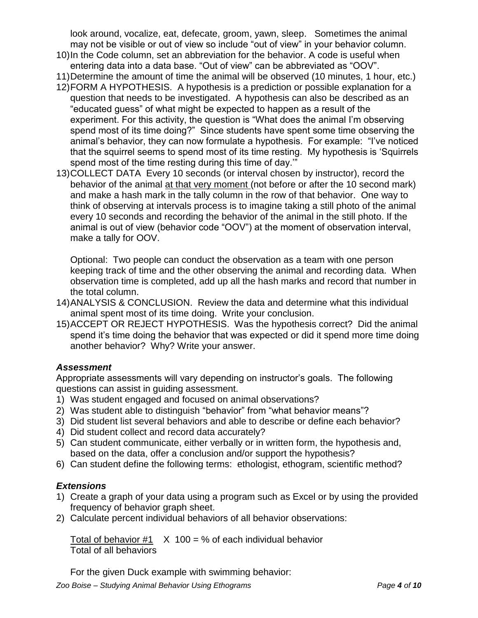look around, vocalize, eat, defecate, groom, yawn, sleep. Sometimes the animal may not be visible or out of view so include "out of view" in your behavior column.

- 10)In the Code column, set an abbreviation for the behavior. A code is useful when entering data into a data base. "Out of view" can be abbreviated as "OOV".
- 11)Determine the amount of time the animal will be observed (10 minutes, 1 hour, etc.)
- 12)FORM A HYPOTHESIS. A hypothesis is a prediction or possible explanation for a question that needs to be investigated. A hypothesis can also be described as an "educated guess" of what might be expected to happen as a result of the experiment. For this activity, the question is "What does the animal I'm observing spend most of its time doing?" Since students have spent some time observing the animal's behavior, they can now formulate a hypothesis. For example: "I've noticed that the squirrel seems to spend most of its time resting. My hypothesis is 'Squirrels spend most of the time resting during this time of day.'"
- 13)COLLECT DATA Every 10 seconds (or interval chosen by instructor), record the behavior of the animal at that very moment (not before or after the 10 second mark) and make a hash mark in the tally column in the row of that behavior. One way to think of observing at intervals process is to imagine taking a still photo of the animal every 10 seconds and recording the behavior of the animal in the still photo. If the animal is out of view (behavior code "OOV") at the moment of observation interval, make a tally for OOV.

Optional: Two people can conduct the observation as a team with one person keeping track of time and the other observing the animal and recording data. When observation time is completed, add up all the hash marks and record that number in the total column.

- 14)ANALYSIS & CONCLUSION. Review the data and determine what this individual animal spent most of its time doing. Write your conclusion.
- 15)ACCEPT OR REJECT HYPOTHESIS. Was the hypothesis correct? Did the animal spend it's time doing the behavior that was expected or did it spend more time doing another behavior? Why? Write your answer.

## *Assessment*

Appropriate assessments will vary depending on instructor's goals. The following questions can assist in guiding assessment.

- 1) Was student engaged and focused on animal observations?
- 2) Was student able to distinguish "behavior" from "what behavior means"?
- 3) Did student list several behaviors and able to describe or define each behavior?
- 4) Did student collect and record data accurately?
- 5) Can student communicate, either verbally or in written form, the hypothesis and, based on the data, offer a conclusion and/or support the hypothesis?
- 6) Can student define the following terms: ethologist, ethogram, scientific method?

# *Extensions*

- 1) Create a graph of your data using a program such as Excel or by using the provided frequency of behavior graph sheet.
- 2) Calculate percent individual behaviors of all behavior observations:

Total of behavior  $#1 \times 100 = %$  of each individual behavior Total of all behaviors

For the given Duck example with swimming behavior: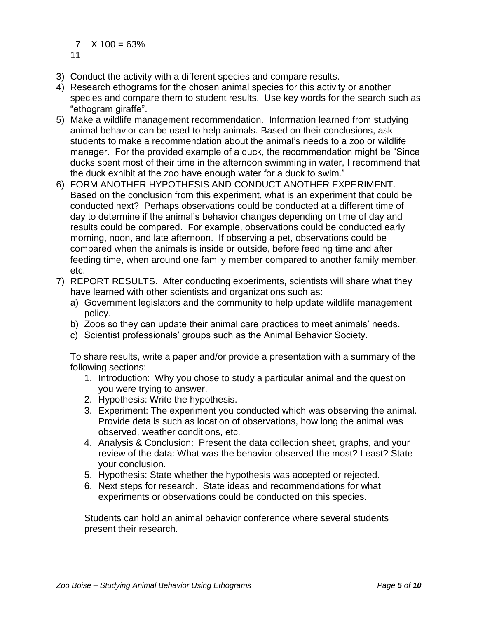$\underline{7}$  X 100 = 63% 11

- 3) Conduct the activity with a different species and compare results.
- 4) Research ethograms for the chosen animal species for this activity or another species and compare them to student results. Use key words for the search such as "ethogram giraffe".
- 5) Make a wildlife management recommendation. Information learned from studying animal behavior can be used to help animals. Based on their conclusions, ask students to make a recommendation about the animal's needs to a zoo or wildlife manager. For the provided example of a duck, the recommendation might be "Since ducks spent most of their time in the afternoon swimming in water, I recommend that the duck exhibit at the zoo have enough water for a duck to swim."
- 6) FORM ANOTHER HYPOTHESIS AND CONDUCT ANOTHER EXPERIMENT. Based on the conclusion from this experiment, what is an experiment that could be conducted next? Perhaps observations could be conducted at a different time of day to determine if the animal's behavior changes depending on time of day and results could be compared. For example, observations could be conducted early morning, noon, and late afternoon. If observing a pet, observations could be compared when the animals is inside or outside, before feeding time and after feeding time, when around one family member compared to another family member, etc.
- 7) REPORT RESULTS. After conducting experiments, scientists will share what they have learned with other scientists and organizations such as:
	- a) Government legislators and the community to help update wildlife management policy.
	- b) Zoos so they can update their animal care practices to meet animals' needs.
	- c) Scientist professionals' groups such as the Animal Behavior Society.

To share results, write a paper and/or provide a presentation with a summary of the following sections:

- 1. Introduction: Why you chose to study a particular animal and the question you were trying to answer.
- 2. Hypothesis: Write the hypothesis.
- 3. Experiment: The experiment you conducted which was observing the animal. Provide details such as location of observations, how long the animal was observed, weather conditions, etc.
- 4. Analysis & Conclusion: Present the data collection sheet, graphs, and your review of the data: What was the behavior observed the most? Least? State your conclusion.
- 5. Hypothesis: State whether the hypothesis was accepted or rejected.
- 6. Next steps for research. State ideas and recommendations for what experiments or observations could be conducted on this species.

Students can hold an animal behavior conference where several students present their research.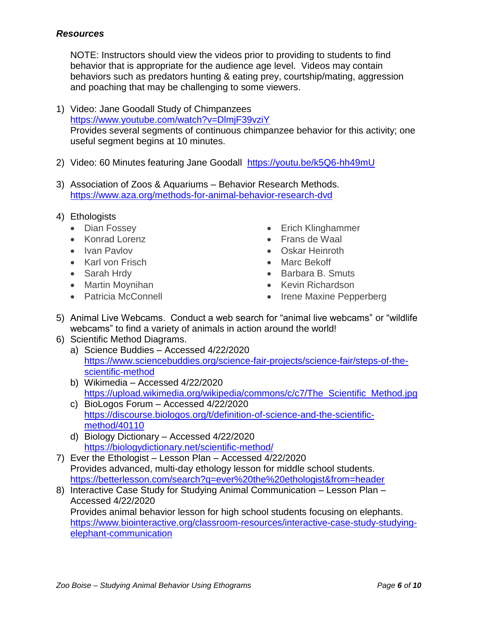#### *Resources*

NOTE: Instructors should view the videos prior to providing to students to find behavior that is appropriate for the audience age level. Videos may contain behaviors such as predators hunting & eating prey, courtship/mating, aggression and poaching that may be challenging to some viewers.

- 1) Video: Jane Goodall Study of Chimpanzees <https://www.youtube.com/watch?v=DlmjF39vziY> Provides several segments of continuous chimpanzee behavior for this activity; one useful segment begins at 10 minutes.
- 2) Video: 60 Minutes featuring Jane Goodall <https://youtu.be/k5Q6-hh49mU>
- 3) Association of Zoos & Aquariums Behavior Research Methods. <https://www.aza.org/methods-for-animal-behavior-research-dvd>
- 4) Ethologists
	- Dian Fossey
	- Konrad Lorenz
	- Ivan Pavlov
	- Karl von Frisch
	- Sarah Hrdy
	- Martin Moynihan
	- Patricia McConnell
- Erich Klinghammer
- Frans de Waal
- Oskar Heinroth
- Marc Bekoff
- Barbara B. Smuts
- Kevin Richardson
- Irene Maxine Pepperberg
- 5) Animal Live Webcams. Conduct a web search for "animal live webcams" or "wildlife webcams" to find a variety of animals in action around the world!
- 6) Scientific Method Diagrams.
	- a) Science Buddies Accessed 4/22/2020 [https://www.sciencebuddies.org/science-fair-projects/science-fair/steps-of-the](https://www.sciencebuddies.org/science-fair-projects/science-fair/steps-of-the-scientific-method)[scientific-method](https://www.sciencebuddies.org/science-fair-projects/science-fair/steps-of-the-scientific-method)
	- b) Wikimedia Accessed 4/22/2020 [https://upload.wikimedia.org/wikipedia/commons/c/c7/The\\_Scientific\\_Method.jpg](https://upload.wikimedia.org/wikipedia/commons/c/c7/The_Scientific_Method.jpg)
	- c) BioLogos Forum Accessed 4/22/2020 [https://discourse.biologos.org/t/definition-of-science-and-the-scientific](https://discourse.biologos.org/t/definition-of-science-and-the-scientific-method/40110)[method/40110](https://discourse.biologos.org/t/definition-of-science-and-the-scientific-method/40110)
	- d) Biology Dictionary Accessed 4/22/2020 <https://biologydictionary.net/scientific-method/>
- 7) Ever the Ethologist Lesson Plan Accessed 4/22/2020 Provides advanced, multi-day ethology lesson for middle school students. <https://betterlesson.com/search?q=ever%20the%20ethologist&from=header>
- 8) Interactive Case Study for Studying Animal Communication Lesson Plan Accessed 4/22/2020 Provides animal behavior lesson for high school students focusing on elephants. [https://www.biointeractive.org/classroom-resources/interactive-case-study-studying](https://www.biointeractive.org/classroom-resources/interactive-case-study-studying-elephant-communication)[elephant-communication](https://www.biointeractive.org/classroom-resources/interactive-case-study-studying-elephant-communication)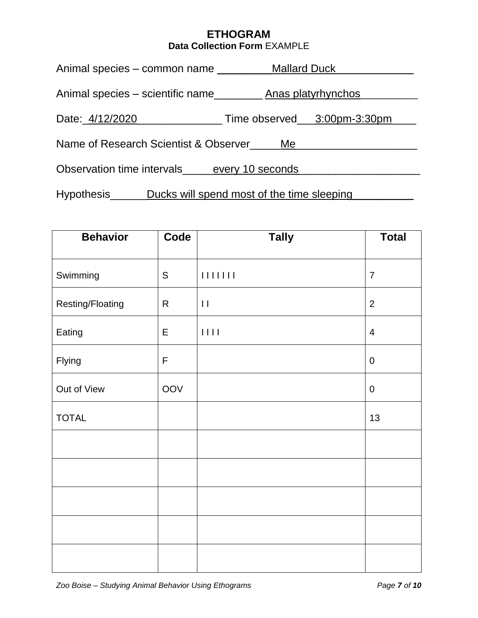# **ETHOGRAM Data Collection Form** EXAMPLE

| Animal species – common name                | <b>Mallard Duck</b>                        |  |  |  |  |  |  |
|---------------------------------------------|--------------------------------------------|--|--|--|--|--|--|
| Animal species – scientific name            | Anas platyrhynchos_                        |  |  |  |  |  |  |
| Date: 4/12/2020                             | Time observed ____3:00pm-3:30pm___         |  |  |  |  |  |  |
| Name of Research Scientist & Observer       | Me.                                        |  |  |  |  |  |  |
| Observation time intervals every 10 seconds |                                            |  |  |  |  |  |  |
| Hypothesis_                                 | Ducks will spend most of the time sleeping |  |  |  |  |  |  |

| <b>Behavior</b>  | Code          | <b>Tally</b>                                                                | <b>Total</b>   |
|------------------|---------------|-----------------------------------------------------------------------------|----------------|
| Swimming         | ${\mathsf S}$ |                                                                             | $\overline{7}$ |
| Resting/Floating | R             | $\mathbf{H}$                                                                | $\overline{2}$ |
| Eating           | E             | $\begin{array}{c c} \hline \end{array} \begin{array}{c} \hline \end{array}$ | $\overline{4}$ |
| Flying           | $\mathsf F$   |                                                                             | $\pmb{0}$      |
| Out of View      | OOV           |                                                                             | $\pmb{0}$      |
| <b>TOTAL</b>     |               |                                                                             | 13             |
|                  |               |                                                                             |                |
|                  |               |                                                                             |                |
|                  |               |                                                                             |                |
|                  |               |                                                                             |                |
|                  |               |                                                                             |                |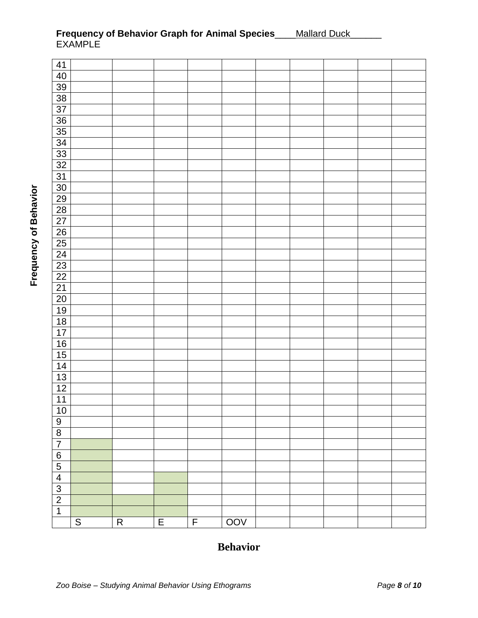| 41              |                |           |                |                |     |  |  |  |
|-----------------|----------------|-----------|----------------|----------------|-----|--|--|--|
| 40              |                |           |                |                |     |  |  |  |
| <u>39</u>       |                |           |                |                |     |  |  |  |
| 38              |                |           |                |                |     |  |  |  |
| $\overline{37}$ |                |           |                |                |     |  |  |  |
|                 |                |           |                |                |     |  |  |  |
| $\frac{36}{35}$ |                |           |                |                |     |  |  |  |
| $\overline{34}$ |                |           |                |                |     |  |  |  |
|                 |                |           |                |                |     |  |  |  |
| $\frac{33}{32}$ |                |           |                |                |     |  |  |  |
| $\overline{31}$ |                |           |                |                |     |  |  |  |
| $\overline{30}$ |                |           |                |                |     |  |  |  |
| <b>29</b>       |                |           |                |                |     |  |  |  |
|                 |                |           |                |                |     |  |  |  |
| $\frac{28}{27}$ |                |           |                |                |     |  |  |  |
| $\overline{26}$ |                |           |                |                |     |  |  |  |
| 25              |                |           |                |                |     |  |  |  |
| $\overline{24}$ |                |           |                |                |     |  |  |  |
| $\frac{23}{22}$ |                |           |                |                |     |  |  |  |
|                 |                |           |                |                |     |  |  |  |
| $\overline{21}$ |                |           |                |                |     |  |  |  |
| $\overline{20}$ |                |           |                |                |     |  |  |  |
| 19              |                |           |                |                |     |  |  |  |
| $\overline{18}$ |                |           |                |                |     |  |  |  |
| 17              |                |           |                |                |     |  |  |  |
| 16              |                |           |                |                |     |  |  |  |
| 15              |                |           |                |                |     |  |  |  |
| 14              |                |           |                |                |     |  |  |  |
| 13              |                |           |                |                |     |  |  |  |
| 12              |                |           |                |                |     |  |  |  |
| $\overline{11}$ |                |           |                |                |     |  |  |  |
| 10              |                |           |                |                |     |  |  |  |
|                 |                |           |                |                |     |  |  |  |
| $\frac{9}{8}$   |                |           |                |                |     |  |  |  |
| $\overline{7}$  |                |           |                |                |     |  |  |  |
| $\frac{6}{5}$   |                |           |                |                |     |  |  |  |
|                 |                |           |                |                |     |  |  |  |
| $\overline{4}$  |                |           |                |                |     |  |  |  |
|                 |                |           |                |                |     |  |  |  |
| $\frac{3}{2}$   |                |           |                |                |     |  |  |  |
| $\overline{1}$  |                |           |                |                |     |  |  |  |
|                 | $\overline{S}$ | ${\sf R}$ | $\overline{E}$ | $\overline{F}$ | 00V |  |  |  |

#### **Frequency of Behavior Graph for Animal Species**\_\_\_\_Mallard Duck\_\_\_\_\_\_ EXAMPLE

# **Behavior**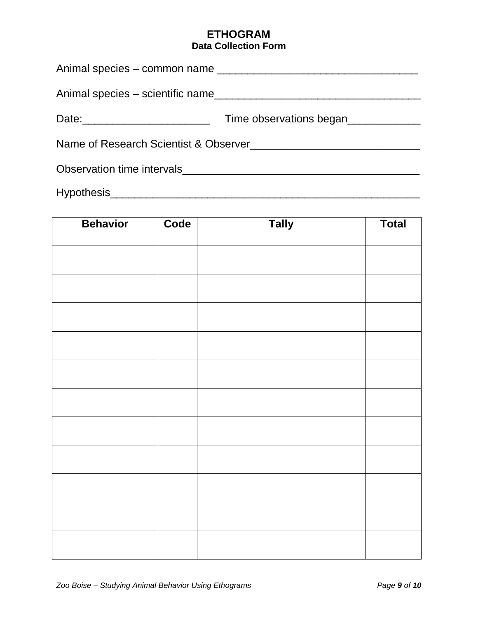## **ETHOGRAM Data Collection Form**

|  | Time observations began |  |  |  |  |  |
|--|-------------------------|--|--|--|--|--|
|  |                         |  |  |  |  |  |
|  |                         |  |  |  |  |  |
|  |                         |  |  |  |  |  |

| <b>Behavior</b> | Code | <b>Tally</b> | <b>Total</b> |
|-----------------|------|--------------|--------------|
|                 |      |              |              |
|                 |      |              |              |
|                 |      |              |              |
|                 |      |              |              |
|                 |      |              |              |
|                 |      |              |              |
|                 |      |              |              |
|                 |      |              |              |
|                 |      |              |              |
|                 |      |              |              |
|                 |      |              |              |
|                 |      |              |              |